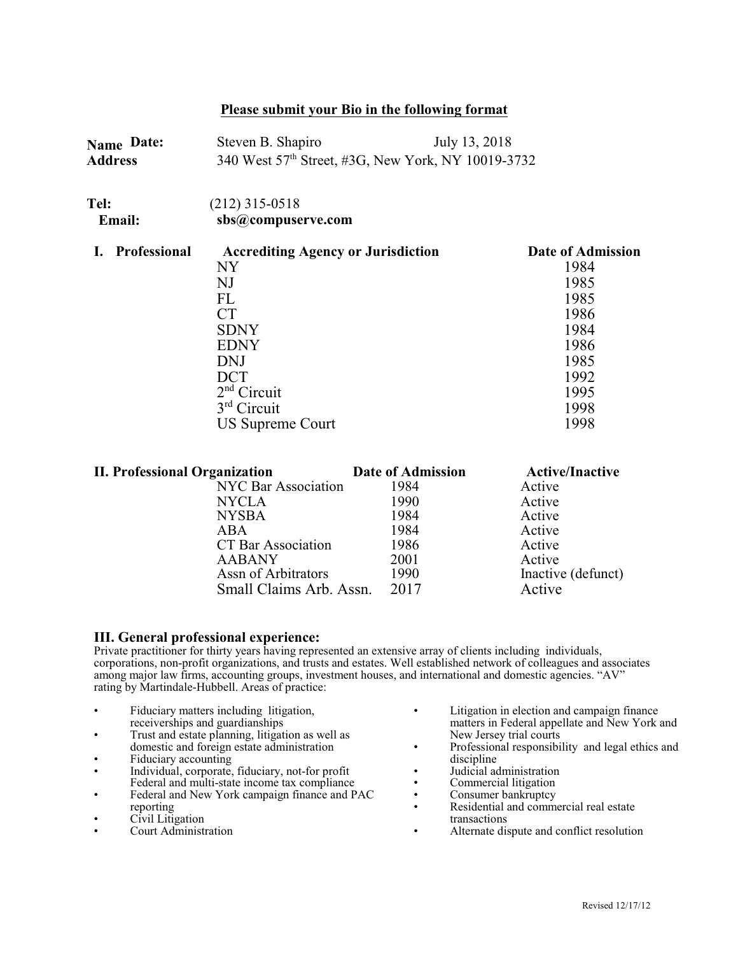## **Please submit your Bio in the following format**

| Name Date:<br><b>Address</b> | July 13, 2018<br>Steven B. Shapiro<br>340 West 57 <sup>th</sup> Street, #3G, New York, NY 10019-3732<br>$(212)$ 315-0518<br>sbs@compuserve.com |                                                                   |  |
|------------------------------|------------------------------------------------------------------------------------------------------------------------------------------------|-------------------------------------------------------------------|--|
| Tel:<br><b>Email:</b>        |                                                                                                                                                |                                                                   |  |
| Professional                 | <b>Accrediting Agency or Jurisdiction</b><br>NY<br>NJ<br>FL<br>CТ<br><b>SDNY</b><br><b>EDNY</b>                                                | Date of Admission<br>1984<br>1985<br>1985<br>1986<br>1984<br>1986 |  |
|                              | <b>DNJ</b><br>DCT<br>$2nd$ Circuit<br>$3rd$ Circuit<br><b>US Supreme Court</b>                                                                 | 1985<br>1992<br>1995<br>1998<br>1998                              |  |

| <b>II. Professional Organization</b> | Date of Admission | <b>Active/Inactive</b> |
|--------------------------------------|-------------------|------------------------|
| <b>NYC Bar Association</b>           | 1984              | Active                 |
| <b>NYCLA</b>                         | 1990              | Active                 |
| <b>NYSBA</b>                         | 1984              | Active                 |
| ABA                                  | 1984              | Active                 |
| <b>CT Bar Association</b>            | 1986              | Active                 |
| <b>AABANY</b>                        | 2001              | Active                 |
| Assn of Arbitrators                  | 1990              | Inactive (defunct)     |
| Small Claims Arb. Assn.              | 2017              | Active                 |

## **III. General professional experience:**

Private practitioner for thirty years having represented an extensive array of clients including individuals, corporations, non-profit organizations, and trusts and estates. Well established network of colleagues and associates among major law firms, accounting groups, investment houses, and international and domestic agencies. "AV" rating by Martindale-Hubbell. Areas of practice:

- Fiduciary matters including litigation, receiverships and guardianships
- Trust and estate planning, litigation as well as domestic and foreign estate administration
- Fiduciary accounting
- Individual, corporate, fiduciary, not-for profit Federal and multi-state income tax compliance
- Federal and New York campaign finance and PAC reporting
- Civil Litigation
- Court Administration
- Litigation in election and campaign finance matters in Federal appellate and New York and New Jersey trial courts
- Professional responsibility and legal ethics and discipline
- Judicial administration
- Commercial litigation
- Consumer bankruptcy
- Residential and commercial real estate transactions
- Alternate dispute and conflict resolution